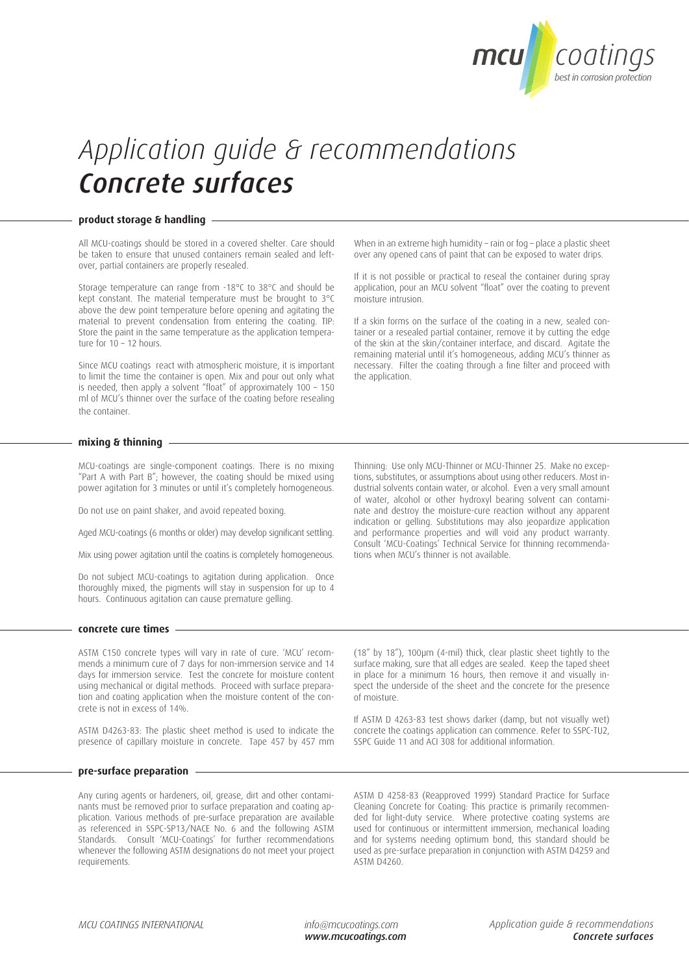

# *Application guide & recommendations Concrete surfaces*

### **product storage & handling**

All MCU-coatings should be stored in a covered shelter. Care should be taken to ensure that unused containers remain sealed and leftover, partial containers are properly resealed.

Storage temperature can range from -18°C to 38°C and should be kept constant. The material temperature must be brought to 3°C above the dew point temperature before opening and agitating the material to prevent condensation from entering the coating. TIP: Store the paint in the same temperature as the application temperature for 10 – 12 hours.

Since MCU coatings react with atmospheric moisture, it is important to limit the time the container is open. Mix and pour out only what is needed, then apply a solvent "float" of approximately 100 – 150 ml of MCU's thinner over the surface of the coating before resealing the container.

When in an extreme high humidity – rain or fog – place a plastic sheet over any opened cans of paint that can be exposed to water drips.

If it is not possible or practical to reseal the container during spray application, pour an MCU solvent "float" over the coating to prevent moisture intrusion.

If a skin forms on the surface of the coating in a new, sealed container or a resealed partial container, remove it by cutting the edge of the skin at the skin/container interface, and discard. Agitate the remaining material until it's homogeneous, adding MCU's thinner as necessary. Filter the coating through a fine filter and proceed with the application.

#### **mixing & thinning**

MCU-coatings are single-component coatings. There is no mixing "Part A with Part B"; however, the coating should be mixed using power agitation for 3 minutes or until it's completely homogeneous.

Do not use on paint shaker, and avoid repeated boxing.

Aged MCU-coatings (6 months or older) may develop significant settling.

Mix using power agitation until the coatins is completely homogeneous.

Do not subject MCU-coatings to agitation during application. Once thoroughly mixed, the pigments will stay in suspension for up to 4 hours. Continuous agitation can cause premature gelling.

Thinning: Use only MCU-Thinner or MCU-Thinner 25. Make no exceptions, substitutes, or assumptions about using other reducers. Most industrial solvents contain water, or alcohol. Even a very small amount of water, alcohol or other hydroxyl bearing solvent can contaminate and destroy the moisture-cure reaction without any apparent indication or gelling. Substitutions may also jeopardize application and performance properties and will void any product warranty. Consult 'MCU-Coatings' Technical Service for thinning recommendations when MCU's thinner is not available.

#### **concrete cure times**

ASTM C150 concrete types will vary in rate of cure. 'MCU' recommends a minimum cure of 7 days for non-immersion service and 14 days for immersion service. Test the concrete for moisture content using mechanical or digital methods. Proceed with surface preparation and coating application when the moisture content of the concrete is not in excess of 14%.

ASTM D4263-83: The plastic sheet method is used to indicate the presence of capillary moisture in concrete. Tape 457 by 457 mm (18" by 18"), 100µm (4-mil) thick, clear plastic sheet tightly to the surface making, sure that all edges are sealed. Keep the taped sheet in place for a minimum 16 hours, then remove it and visually inspect the underside of the sheet and the concrete for the presence of moisture.

If ASTM D 4263-83 test shows darker (damp, but not visually wet) concrete the coatings application can commence. Refer to SSPC-TU2, SSPC Guide 11 and ACI 308 for additional information.

# **pre-surface preparation**

Any curing agents or hardeners, oil, grease, dirt and other contaminants must be removed prior to surface preparation and coating application. Various methods of pre-surface preparation are available as referenced in SSPC-SP13/NACE No. 6 and the following ASTM Standards. Consult 'MCU-Coatings' for further recommendations whenever the following ASTM designations do not meet your project requirements.

ASTM D 4258-83 (Reapproved 1999) Standard Practice for Surface Cleaning Concrete for Coating: This practice is primarily recommended for light-duty service. Where protective coating systems are used for continuous or intermittent immersion, mechanical loading and for systems needing optimum bond, this standard should be used as pre-surface preparation in conjunction with ASTM D4259 and ASTM D4260.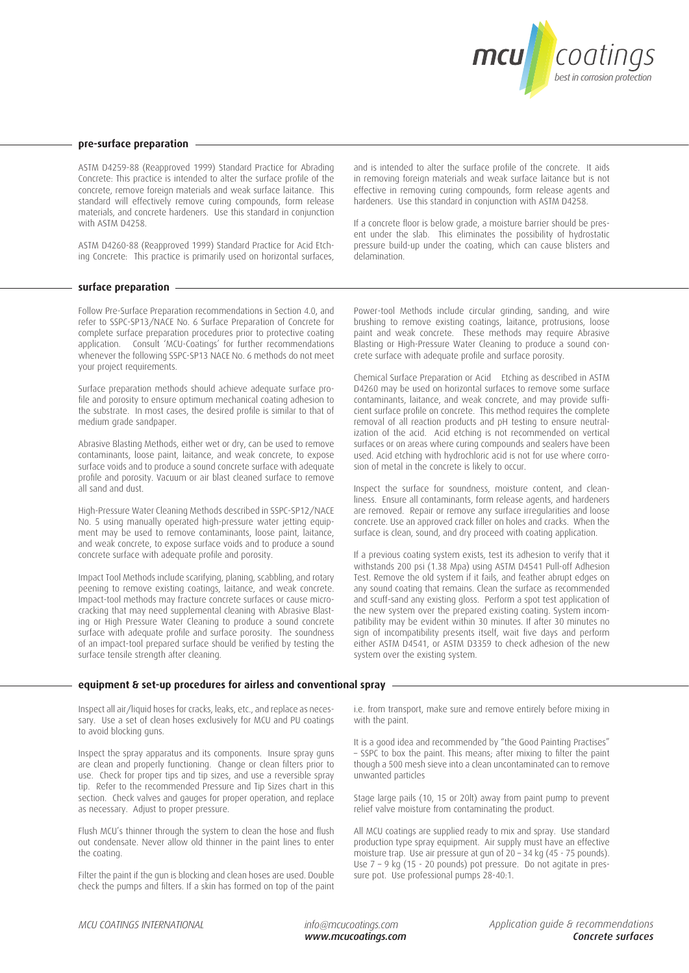

## **pre-surface preparation**

ASTM D4259-88 (Reapproved 1999) Standard Practice for Abrading Concrete: This practice is intended to alter the surface profile of the concrete, remove foreign materials and weak surface laitance. This standard will effectively remove curing compounds, form release materials, and concrete hardeners. Use this standard in conjunction with ASTM D4258.

ASTM D4260-88 (Reapproved 1999) Standard Practice for Acid Etching Concrete: This practice is primarily used on horizontal surfaces,

## **surface preparation**

Follow Pre-Surface Preparation recommendations in Section 4.0, and refer to SSPC-SP13/NACE No. 6 Surface Preparation of Concrete for complete surface preparation procedures prior to protective coating application. Consult 'MCU-Coatings' for further recommendations whenever the following SSPC-SP13 NACE No. 6 methods do not meet your project requirements.

Surface preparation methods should achieve adequate surface profile and porosity to ensure optimum mechanical coating adhesion to the substrate. In most cases, the desired profile is similar to that of medium grade sandpaper.

Abrasive Blasting Methods, either wet or dry, can be used to remove contaminants, loose paint, laitance, and weak concrete, to expose surface voids and to produce a sound concrete surface with adequate profile and porosity. Vacuum or air blast cleaned surface to remove all sand and dust.

High-Pressure Water Cleaning Methods described in SSPC-SP12/NACE No. 5 using manually operated high-pressure water jetting equipment may be used to remove contaminants, loose paint, laitance, and weak concrete, to expose surface voids and to produce a sound concrete surface with adequate profile and porosity.

Impact Tool Methods include scarifying, planing, scabbling, and rotary peening to remove existing coatings, laitance, and weak concrete. Impact-tool methods may fracture concrete surfaces or cause microcracking that may need supplemental cleaning with Abrasive Blasting or High Pressure Water Cleaning to produce a sound concrete surface with adequate profile and surface porosity. The soundness of an impact-tool prepared surface should be verified by testing the surface tensile strength after cleaning.

and is intended to alter the surface profile of the concrete. It aids in removing foreign materials and weak surface laitance but is not effective in removing curing compounds, form release agents and hardeners. Use this standard in conjunction with ASTM D4258.

If a concrete floor is below grade, a moisture barrier should be present under the slab. This eliminates the possibility of hydrostatic pressure build-up under the coating, which can cause blisters and delamination.

Power-tool Methods include circular grinding, sanding, and wire brushing to remove existing coatings, laitance, protrusions, loose paint and weak concrete. These methods may require Abrasive Blasting or High-Pressure Water Cleaning to produce a sound concrete surface with adequate profile and surface porosity.

Chemical Surface Preparation or Acid Etching as described in ASTM D4260 may be used on horizontal surfaces to remove some surface contaminants, laitance, and weak concrete, and may provide sufficient surface profile on concrete. This method requires the complete removal of all reaction products and pH testing to ensure neutralization of the acid. Acid etching is not recommended on vertical surfaces or on areas where curing compounds and sealers have been used. Acid etching with hydrochloric acid is not for use where corrosion of metal in the concrete is likely to occur.

Inspect the surface for soundness, moisture content, and cleanliness. Ensure all contaminants, form release agents, and hardeners are removed. Repair or remove any surface irregularities and loose concrete. Use an approved crack filler on holes and cracks. When the surface is clean, sound, and dry proceed with coating application.

If a previous coating system exists, test its adhesion to verify that it withstands 200 psi (1.38 Mpa) using ASTM D4541 Pull-off Adhesion Test. Remove the old system if it fails, and feather abrupt edges on any sound coating that remains. Clean the surface as recommended and scuff-sand any existing gloss. Perform a spot test application of the new system over the prepared existing coating. System incompatibility may be evident within 30 minutes. If after 30 minutes no sign of incompatibility presents itself, wait five days and perform either ASTM D4541, or ASTM D3359 to check adhesion of the new system over the existing system.

### **equi equipment & set-up procedures for airless and conventional spray**

Inspect all air/liquid hoses for cracks, leaks, etc., and replace as necessary. Use a set of clean hoses exclusively for MCU and PU coatings to avoid blocking guns.

Inspect the spray apparatus and its components. Insure spray guns are clean and properly functioning. Change or clean filters prior to use. Check for proper tips and tip sizes, and use a reversible spray tip. Refer to the recommended Pressure and Tip Sizes chart in this section. Check valves and gauges for proper operation, and replace as necessary. Adjust to proper pressure.

Flush MCU's thinner through the system to clean the hose and flush out condensate. Never allow old thinner in the paint lines to enter the coating.

Filter the paint if the gun is blocking and clean hoses are used. Double check the pumps and filters. If a skin has formed on top of the paint i.e. from transport, make sure and remove entirely before mixing in with the paint.

It is a good idea and recommended by "the Good Painting Practises" – SSPC to box the paint. This means; after mixing to filter the paint though a 500 mesh sieve into a clean uncontaminated can to remove unwanted particles

Stage large pails (10, 15 or 20lt) away from paint pump to prevent relief valve moisture from contaminating the product.

All MCU coatings are supplied ready to mix and spray. Use standard production type spray equipment. Air supply must have an effective moisture trap. Use air pressure at gun of 20 – 34 kg (45 - 75 pounds). Use 7 – 9 kg (15 - 20 pounds) pot pressure. Do not agitate in pressure pot. Use professional pumps 28-40:1.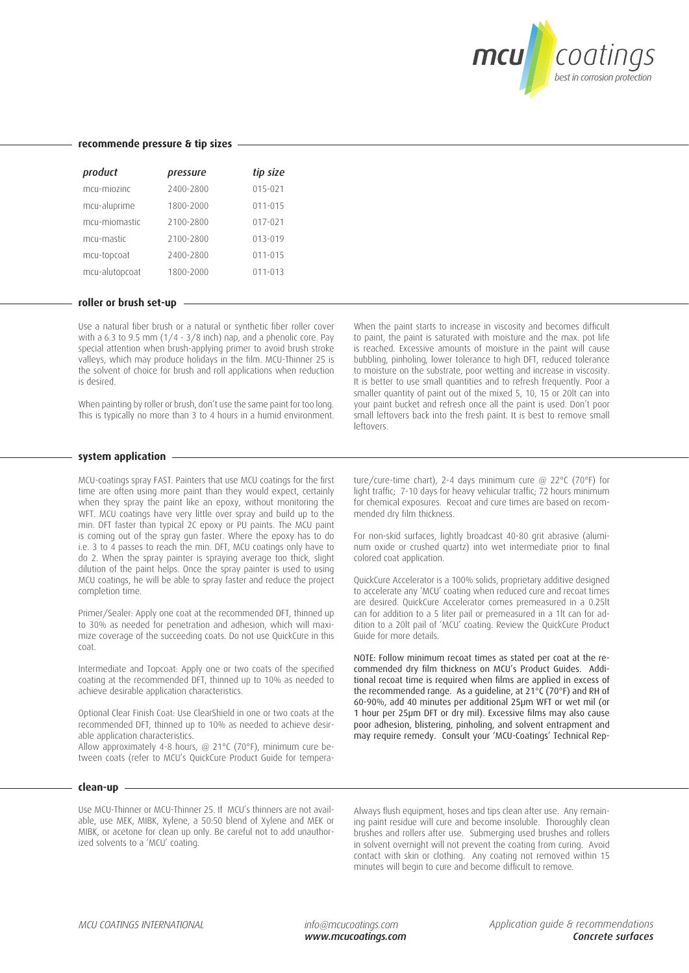

| product        | pressure  | tip size    |
|----------------|-----------|-------------|
| mcu-miozinc    | 2400-2800 | $015 - 021$ |
| mcu-aluprime   | 1800-2000 | $011 - 015$ |
| mcu-miomastic  | 2100-2800 | $017 - 021$ |
| mcu-mastic     | 2100-2800 | $013 - 019$ |
| mcu-topcoat    | 2400-2800 | $011 - 015$ |
| mcu-alutopcoat | 1800-2000 | $011 - 013$ |

#### **recommende pressure & tip sizes**

#### **roller or brush set-up**

Use a natural fiber brush or a natural or synthetic fiber roller cover with a 6.3 to 9.5 mm  $(1/4 - 3/8)$  inch) nap, and a phenolic core. Pay special attention when brush-applying primer to avoid brush stroke valleys, which may produce holidays in the film. MCU-Thinner 25 is the solvent of choice for brush and roll applications when reduction is desired.

When painting by roller or brush, don't use the same paint for too long. This is typically no more than 3 to 4 hours in a humid environment.

When the paint starts to increase in viscosity and becomes difficult to paint, the paint is saturated with moisture and the max. pot life is reached. Excessive amounts of moisture in the paint will cause bubbling, pinholing, lower tolerance to high DFT, reduced tolerance to moisture on the substrate, poor wetting and increase in viscosity. It is better to use small quantities and to refresh frequently. Poor a smaller quantity of paint out of the mixed 5, 10, 15 or 20lt can into your paint bucket and refresh once all the paint is used. Don't poor small leftovers back into the fresh paint. It is best to remove small leftovers.

#### **system application**

MCU-coatings spray FAST. Painters that use MCU coatings for the first time are often using more paint than they would expect, certainly when they spray the paint like an epoxy, without monitoring the WFT. MCU coatings have very little over spray and build up to the min. DFT faster than typical 2C epoxy or PU paints. The MCU paint is coming out of the spray gun faster. Where the epoxy has to do i.e. 3 to 4 passes to reach the min. DFT, MCU coatings only have to do 2. When the spray painter is spraying average too thick, slight dilution of the paint helps. Once the spray painter is used to using MCU coatings, he will be able to spray faster and reduce the project completion time.

Primer/Sealer: Apply one coat at the recommended DFT, thinned up to 30% as needed for penetration and adhesion, which will maximize coverage of the succeeding coats. Do not use QuickCure in this coat.

Intermediate and Topcoat: Apply one or two coats of the specified coating at the recommended DFT, thinned up to 10% as needed to achieve desirable application characteristics.

Optional Clear Finish Coat: Use ClearShield in one or two coats at the recommended DFT, thinned up to 10% as needed to achieve desirable application characteristics.

Allow approximately 4-8 hours, @ 21°C (70°F), minimum cure between coats (refer to MCU's QuickCure Product Guide for temperature/cure-time chart), 2-4 days minimum cure @ 22°C (70°F) for light traffic; 7-10 days for heavy vehicular traffic; 72 hours minimum for chemical exposures. Recoat and cure times are based on recommended dry film thickness.

For non-skid surfaces, lightly broadcast 40-80 grit abrasive (aluminum oxide or crushed quartz) into wet intermediate prior to final colored coat application.

QuickCure Accelerator is a 100% solids, proprietary additive designed to accelerate any 'MCU' coating when reduced cure and recoat times are desired. QuickCure Accelerator comes premeasured in a 0.25lt can for addition to a 5 liter pail or premeasured in a 1lt can for addition to a 20lt pail of 'MCU' coating. Review the QuickCure Product Guide for more details.

NOTE: Follow minimum recoat times as stated per coat at the recommended dry film thickness on MCU's Product Guides. Additional recoat time is required when films are applied in excess of the recommended range. As a guideline, at 21°C (70°F) and RH of 60-90%, add 40 minutes per additional 25µm WFT or wet mil (or 1 hour per 25µm DFT or dry mil). Excessive films may also cause poor adhesion, blistering, pinholing, and solvent entrapment and may require remedy. Consult your 'MCU-Coatings' Technical Rep-

#### **clean-up**

Use MCU-Thinner or MCU-Thinner 25. If MCU's thinners are not available, use MEK, MIBK, Xylene, a 50:50 blend of Xylene and MEK or MIBK, or acetone for clean up only. Be careful not to add unauthorized solvents to a 'MCU' coating.

Always flush equipment, hoses and tips clean after use. Any remaining paint residue will cure and become insoluble. Thoroughly clean brushes and rollers after use. Submerging used brushes and rollers in solvent overnight will not prevent the coating from curing. Avoid contact with skin or clothing. Any coating not removed within 15 minutes will begin to cure and become difficult to remove.